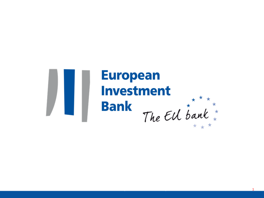

# **European Investment** The EU bank \*\*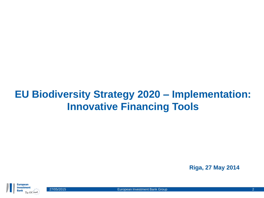#### **EU Biodiversity Strategy 2020 – Implementation: Innovative Financing Tools**

**Riga, 27 May 2014**

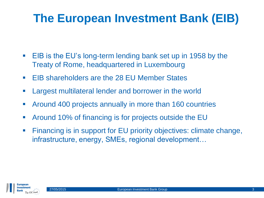## **The European Investment Bank (EIB)**

- **EIB** is the EU's long-term lending bank set up in 1958 by the Treaty of Rome, headquartered in Luxembourg
- **EIB shareholders are the 28 EU Member States**
- **EXTERGHT Largest multilateral lender and borrower in the world**
- Around 400 projects annually in more than 160 countries
- Around 10% of financing is for projects outside the EU
- Financing is in support for EU priority objectives: climate change, infrastructure, energy, SMEs, regional development…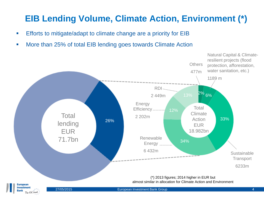#### **EIB Lending Volume, Climate Action, Environment (\*)**

- **Efforts to mitigate/adapt to climate change are a priority for EIB**
- **More than 25% of total EIB lending goes towards Climate Action**

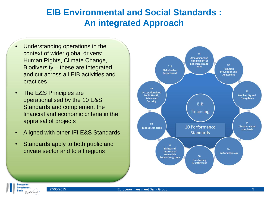#### **EIB Environmental and Social Standards : An integrated Approach**

- Understanding operations in the context of wider global drivers: Human Rights, Climate Change, Biodiversity – these are integrated and cut across all EIB activities and practices
- The E&S Principles are operationalised by the 10 E&S Standards and complement the financial and economic criteria in the appraisal of projects
- Aligned with other IFI E&S Standards
- Standards apply to both public and private sector and to all regions



**Europear Investment** 

The EU bank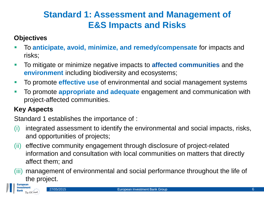#### **Standard 1: Assessment and Management of E&S Impacts and Risks**

#### **Objectives**

- To **anticipate, avoid, minimize, and remedy/compensate** for impacts and risks;
- To mitigate or minimize negative impacts to **affected communities** and the **environment** including biodiversity and ecosystems;
- To promote **effective use** of environmental and social management systems
- To promote **appropriate and adequate** engagement and communication with project-affected communities.

#### **Key Aspects**

Standard 1 establishes the importance of :

- (i) integrated assessment to identify the environmental and social impacts, risks, and opportunities of projects;
- (ii) effective community engagement through disclosure of project-related information and consultation with local communities on matters that directly affect them; and
- (iii) management of environmental and social performance throughout the life of the project.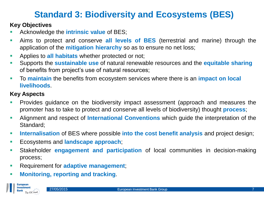#### **Standard 3: Biodiversity and Ecosystems (BES)**

#### **Key Objectives**

- Acknowledge the **intrinsic value** of BES;
- Aims to protect and conserve **all levels of BES** (terrestrial and marine) through the application of the **mitigation hierarchy** so as to ensure no net loss;
- Applies to **all habitats** whether protected or not;
- Supports the **sustainable use** of natural renewable resources and the **equitable sharing** of benefits from project's use of natural resources;
- To **maintain** the benefits from ecosystem services where there is an **impact on local livelihoods**.

#### **Key Aspects**

- Provides guidance on the biodiversity impact assessment (approach and measures the promoter has to take to protect and conserve all levels of biodiversity) thought **process**;
- Alignment and respect of **International Conventions** which guide the interpretation of the Standard;
- **Internalisation** of BES where possible **into the cost benefit analysis** and project design;
- Ecosystems and **landscape approach**;
- Stakeholder **engagement and participation** of local communities in decision-making process;
- Requirement for **adaptive management**;
- **Monitoring, reporting and tracking**.

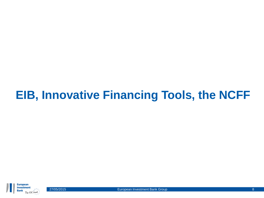## **EIB, Innovative Financing Tools, the NCFF**

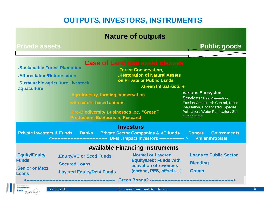#### **OUTPUTS, INVESTORS, INSTRUMENTS**

#### **Nature of outputs**

#### Private assets **The Contract of the Contract of Tensis and Public goods**

| <b>.Sustainable Forest Plantation</b><br>.Afforestation/Reforestation<br>.Sustainable agriculture, livestock,<br>aquaculture |                                                                                               |              | .Agroforestry, farming conservation<br>with nature-based actions<br><b>Production, Ecotourism, Research</b> | <b>Case of Land use asset classes</b><br><b>.Forest Conservation,</b><br><b>.Restoration of Natural Assets</b><br>on Private or Public Lands<br>.Green Infrastructure<br><b>Pro-Biodiversity Businesses inc. "Green"</b> | <b>Various Ecosystem</b><br><b>Services: Fire Prevention,</b><br>nutrients etc | Erosion Control, Air Control, Noise<br>Regulation, Endangered Species,<br>Pollination, Water Purification, Soil |
|------------------------------------------------------------------------------------------------------------------------------|-----------------------------------------------------------------------------------------------|--------------|-------------------------------------------------------------------------------------------------------------|--------------------------------------------------------------------------------------------------------------------------------------------------------------------------------------------------------------------------|--------------------------------------------------------------------------------|-----------------------------------------------------------------------------------------------------------------|
| <b>Private Investors &amp; Funds</b>                                                                                         |                                                                                               | <b>Banks</b> |                                                                                                             | <b>Investors</b><br><b>Private Sector Companies &amp; VC funds</b><br>DFIs, Impact Investors ----------------- >                                                                                                         | <b>Donors</b>                                                                  | <b>Governments</b><br><b>Philanthropists</b>                                                                    |
|                                                                                                                              |                                                                                               |              |                                                                                                             | <b>Available Financing Instruments</b>                                                                                                                                                                                   |                                                                                |                                                                                                                 |
| .Equity/Equity<br><b>Funds</b><br><b>.Senior or Mezz</b><br><b>Loans</b>                                                     | <b>.Equity/VC or Seed Funds</b><br><b>.Secured Loans</b><br><b>.Layered Equity/Debt Funds</b> |              |                                                                                                             | <b>.Normal or Layered</b><br><b>Equity/Debt Funds with</b><br>activation of revenues<br>(carbon, PES, offsets)                                                                                                           | <b>Loans to Public Sector.</b><br>. <b>Blending</b><br>.Grants                 |                                                                                                                 |
|                                                                                                                              |                                                                                               |              |                                                                                                             | Green Bonds? ---------------------------------                                                                                                                                                                           |                                                                                |                                                                                                                 |
| Investment<br><b>Bank</b><br>The EU bank                                                                                     | 27/05/2015                                                                                    |              |                                                                                                             | European Investment Bank Group                                                                                                                                                                                           |                                                                                |                                                                                                                 |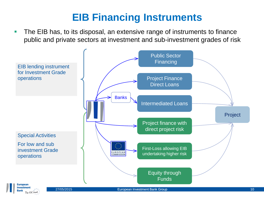#### **EIB Financing Instruments**

**The EIB has, to its disposal, an extensive range of instruments to finance** public and private sectors at investment and sub-investment grades of risk

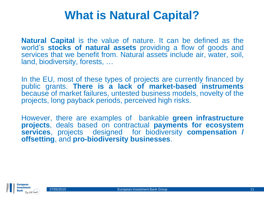## **What is Natural Capital?**

**Natural Capital** is the value of nature. It can be defined as the world's **stocks of natural assets** providing a flow of goods and services that we benefit from. Natural assets include air, water, soil, land, biodiversity, forests, …

In the EU, most of these types of projects are currently financed by public grants. **There is a lack of market-based instruments** because of market failures, untested business models, novelty of the projects, long payback periods, perceived high risks.

However, there are examples of bankable **green infrastructure projects**, deals based on contractual **payments for ecosystem services**, projects designed for biodiversity **compensation / offsetting**, and **pro-biodiversity businesses**.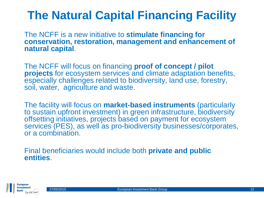## **The Natural Capital Financing Facility**

The NCFF is a new initiative to **stimulate financing for conservation, restoration, management and enhancement of natural capital**.

The NCFF will focus on financing **proof of concept / pilot projects** for ecosystem services and climate adaptation benefits, especially challenges related to biodiversity, land use, forestry, soil, water, agriculture and waste.

The facility will focus on **market-based instruments** (particularly to sustain upfront investment) in green infrastructure, biodiversity offsetting initiatives, projects based on payment for ecosystem services (PES), as well as pro-biodiversity businesses/corporates, or a combination.

Final beneficiaries would include both **private and public entities**.

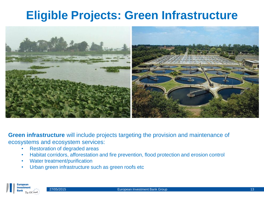## **Eligible Projects: Green Infrastructure**



**Green infrastructure** will include projects targeting the provision and maintenance of ecosystems and ecosystem services:

- Restoration of degraded areas
- Habitat corridors, afforestation and fire prevention, flood protection and erosion control
- Water treatment/purification
- Urban green infrastructure such as green roofs etc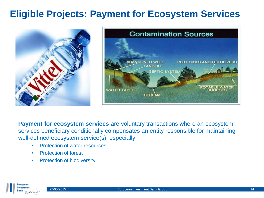#### **Eligible Projects: Payment for Ecosystem Services**





**Payment for ecosystem services** are voluntary transactions where an ecosystem services beneficiary conditionally compensates an entity responsible for maintaining well-defined ecosystem service(s), especially:

- Protection of water resources
- Protection of forest
- Protection of biodiversity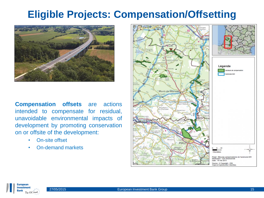#### **Eligible Projects: Compensation/Offsetting**



**Compensation offsets** are actions intended to compensate for residual, unavoidable environmental impacts of development by promoting conservation on or offsite of the development:

- On-site offset
- On-demand markets



Europear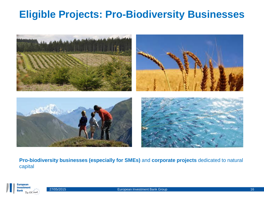#### **Eligible Projects: Pro-Biodiversity Businesses**



**Pro-biodiversity businesses (especially for SMEs)** and **corporate projects** dedicated to natural capital

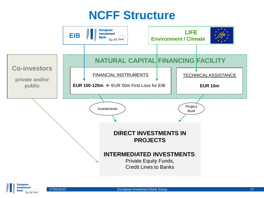## **NCFF Structure**



Europear **Investment**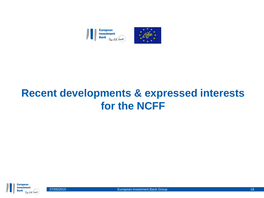

#### **Recent developments & expressed interests for the NCFF**



27/05/2015 **European Investment Bank Group 18** and 18 and 18 and 18 and 18 and 18 and 18 and 18 and 18 and 18 and 18 and 18 and 18 and 18 and 18 and 18 and 18 and 18 and 18 and 18 and 18 and 18 and 18 and 18 and 18 and 18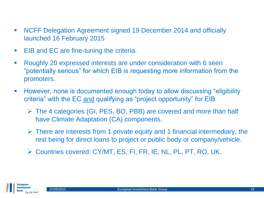- NCFF Delegation Agreement signed 19 December 2014 and officially launched 16 February 2015
- **EIB and EC are fine-tuning the criteria.**
- Roughly 20 expressed interests are under consideration with 6 seen "potentially serious" for which EIB is requesting more information from the promoters.
- However, none is documented enough today to allow discussing "eligibility criteria" with the EC and qualifying as "project opportunity" for EIB
	- The 4 categories (GI, PES, BO, PBB) are covered and more than half have Climate Adaptation (CA) components.
	- $\triangleright$  There are interests from 1 private equity and 1 financial intermediary, the rest being for direct loans to project or public body or company/vehicle.
	- Countries covered: CY/MT, ES, FI, FR, IE, NL, PL, PT, RO, UK.

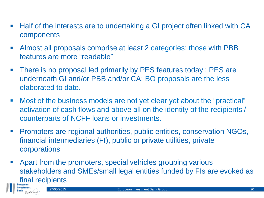- Half of the interests are to undertaking a GI project often linked with CA components
- Almost all proposals comprise at least 2 categories; those with PBB features are more "readable"
- **There is no proposal led primarily by PES features today; PES are** underneath GI and/or PBB and/or CA; BO proposals are the less elaborated to date.
- Most of the business models are not yet clear yet about the "practical" activation of cash flows and above all on the identity of the recipients / counterparts of NCFF loans or investments.
- Promoters are regional authorities, public entities, conservation NGOs, financial intermediaries (FI), public or private utilities, private corporations
- Apart from the promoters, special vehicles grouping various stakeholders and SMEs/small legal entities funded by FIs are evoked as final recipients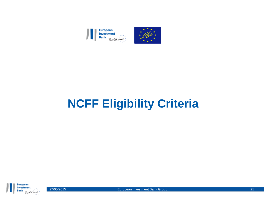

## **NCFF Eligibility Criteria**



27/05/2015 **European Investment Bank Group 21 Example 21** 21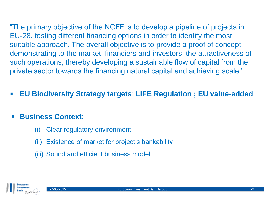"The primary objective of the NCFF is to develop a pipeline of projects in EU-28, testing different financing options in order to identify the most suitable approach. The overall objective is to provide a proof of concept demonstrating to the market, financiers and investors, the attractiveness of such operations, thereby developing a sustainable flow of capital from the private sector towards the financing natural capital and achieving scale."

**EU Biodiversity Strategy targets**; **LIFE Regulation ; EU value-added**

#### **Business Context**:

- (i) Clear regulatory environment
- (ii) Existence of market for project's bankability
- (iii) Sound and efficient business model

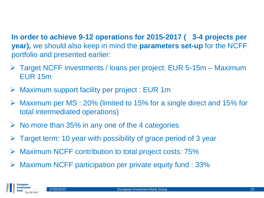**In order to achieve 9-12 operations for 2015-2017 ( 3-4 projects per year),** we should also keep in mind the **parameters set-up** for the NCFF portfolio and presented earlier:

- Target NCFF investments / loans per project: EUR 5-15m Maximum EUR 15m
- Maximum support facility per project : EUR 1m
- Maximum per MS : 20% (limited to 15% for a single direct and 15% for total intermediated operations)
- $\triangleright$  No more than 35% in any one of the 4 categories
- Target term: 10 year with possibility of grace period of 3 year
- Maximum NCFF contribution to total project costs: 75%
- $\triangleright$  Maximum NCFF participation per private equity fund : 33%

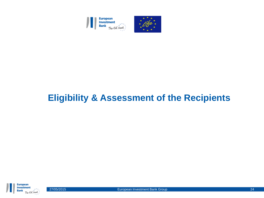

## **Eligibility & Assessment of the Recipients**

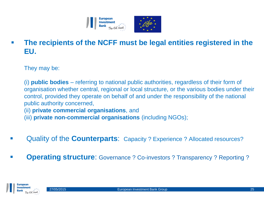

 **The recipients of the NCFF must be legal entities registered in the EU.**

They may be:

(i) **public bodies** – referring to national public authorities, regardless of their form of organisation whether central, regional or local structure, or the various bodies under their control, provided they operate on behalf of and under the responsibility of the national public authority concerned, (ii) **private commercial organisations**, and

(iii) **private non-commercial organisations** (including NGOs);

- Quality of the **Counterparts**: Capacity ? Experience ? Allocated resources?
- **Operating structure:** Governance ? Co-investors ? Transparency ? Reporting ?

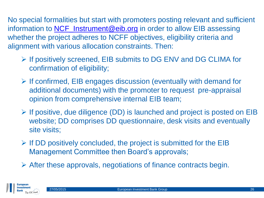No special formalities but start with promoters posting relevant and sufficient information to **[NCF\\_Instrument@eib.org](mailto:NCF_Instrument@eib.org)** in order to allow EIB assessing whether the project adheres to NCFF objectives, eligibility criteria and alignment with various allocation constraints. Then:

- $\triangleright$  If positively screened, EIB submits to DG ENV and DG CLIMA for confirmation of eligibility;
- $\triangleright$  If confirmed, EIB engages discussion (eventually with demand for additional documents) with the promoter to request pre-appraisal opinion from comprehensive internal EIB team;
- $\triangleright$  If positive, due diligence (DD) is launched and project is posted on EIB website; DD comprises DD questionnaire, desk visits and eventually site visits;
- $\triangleright$  If DD positively concluded, the project is submitted for the EIB Management Committee then Board's approvals;
- $\triangleright$  After these approvals, negotiations of finance contracts begin.

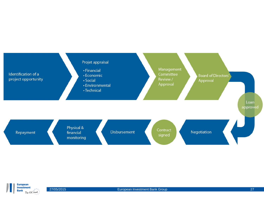

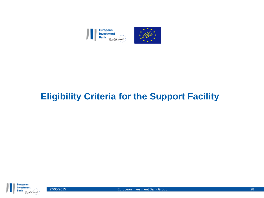

#### **Eligibility Criteria for the Support Facility**

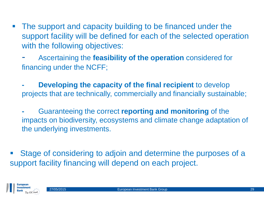- **The support and capacity building to be financed under the** support facility will be defined for each of the selected operation with the following objectives:
	- Ascertaining the **feasibility of the operation** considered for financing under the NCFF;
	- **Developing the capacity of the final recipient** to develop projects that are technically, commercially and financially sustainable;
	- **-** Guaranteeing the correct **reporting and monitoring** of the impacts on biodiversity, ecosystems and climate change adaptation of the underlying investments.
- Stage of considering to adjoin and determine the purposes of a support facility financing will depend on each project.